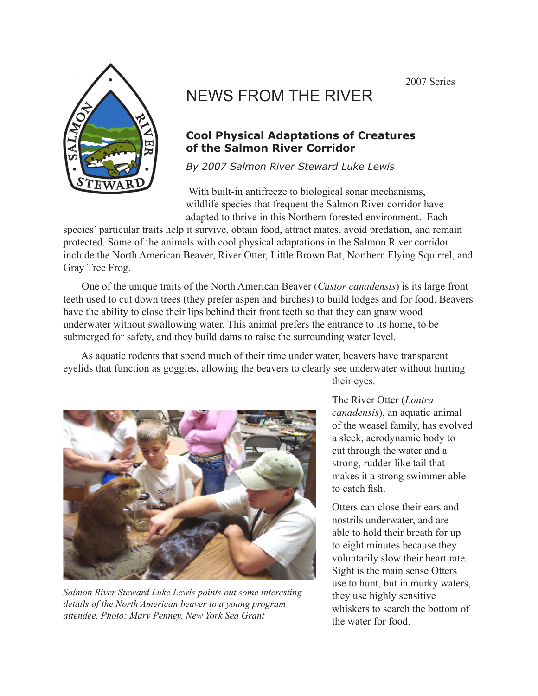2007 Series



## NEWS FROM THE RIVER

## **Cool Physical Adaptations of Creatures of the Salmon River Corridor**

*By 2007 Salmon River Steward Luke Lewis*

With built-in antifreeze to biological sonar mechanisms, wildlife species that frequent the Salmon River corridor have adapted to thrive in this Northern forested environment. Each

species' particular traits help it survive, obtain food, attract mates, avoid predation, and remain protected. Some of the animals with cool physical adaptations in the Salmon River corridor include the North American Beaver, River Otter, Little Brown Bat, Northern Flying Squirrel, and Gray Tree Frog.

 One of the unique traits of the North American Beaver (*Castor canadensis*) is its large front teeth used to cut down trees (they prefer aspen and birches) to build lodges and for food. Beavers have the ability to close their lips behind their front teeth so that they can gnaw wood underwater without swallowing water. This animal prefers the entrance to its home, to be submerged for safety, and they build dams to raise the surrounding water level.

 As aquatic rodents that spend much of their time under water, beavers have transparent eyelids that function as goggles, allowing the beavers to clearly see underwater without hurting



*Salmon River Steward Luke Lewis points out some interesting details of the North American beaver to a young program attendee. Photo: Mary Penney, New York Sea Grant*

their eyes.

The River Otter (*Lontra canadensis*), an aquatic animal of the weasel family, has evolved a sleek, aerodynamic body to cut through the water and a strong, rudder-like tail that makes it a strong swimmer able to catch fish.

Otters can close their ears and nostrils underwater, and are able to hold their breath for up to eight minutes because they voluntarily slow their heart rate. Sight is the main sense Otters use to hunt, but in murky waters, they use highly sensitive whiskers to search the bottom of the water for food.